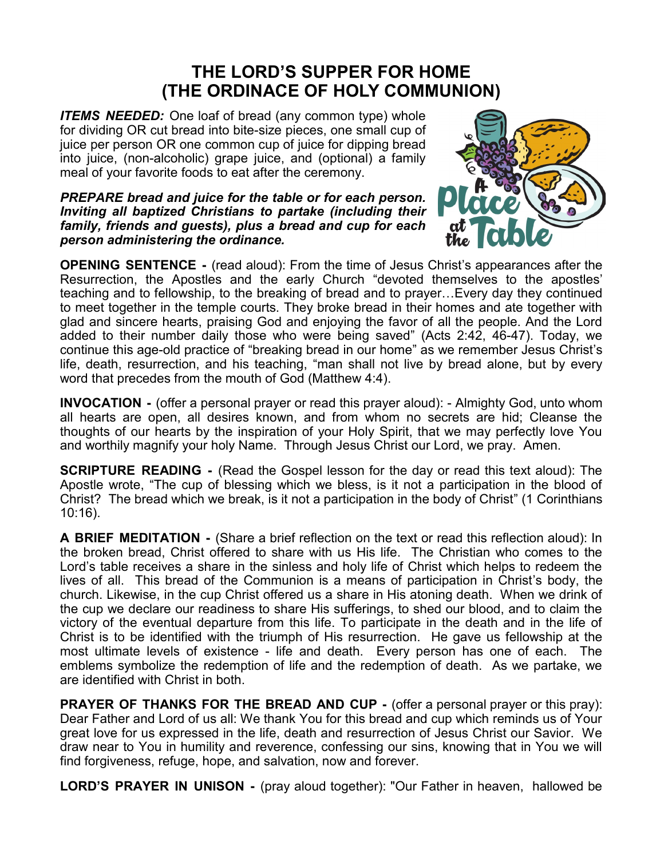## **THE LORD'S SUPPER FOR HOME (THE ORDINACE OF HOLY COMMUNION)**

*ITEMS NEEDED:* One loaf of bread (any common type) whole for dividing OR cut bread into bite-size pieces, one small cup of juice per person OR one common cup of juice for dipping bread into juice, (non-alcoholic) grape juice, and (optional) a family meal of your favorite foods to eat after the ceremony.

*PREPARE bread and juice for the table or for each person. Inviting all baptized Christians to partake (including their family, friends and guests), plus a bread and cup for each person administering the ordinance.* 



**OPENING SENTENCE -** (read aloud): From the time of Jesus Christ's appearances after the Resurrection, the Apostles and the early Church "devoted themselves to the apostles' teaching and to fellowship, to the breaking of bread and to prayer…Every day they continued to meet together in the temple courts. They broke bread in their homes and ate together with glad and sincere hearts, praising God and enjoying the favor of all the people. And the Lord added to their number daily those who were being saved" (Acts 2:42, 46-47). Today, we continue this age-old practice of "breaking bread in our home" as we remember Jesus Christ's life, death, resurrection, and his teaching, "man shall not live by bread alone, but by every word that precedes from the mouth of God (Matthew 4:4).

**INVOCATION -** (offer a personal prayer or read this prayer aloud): - Almighty God, unto whom all hearts are open, all desires known, and from whom no secrets are hid; Cleanse the thoughts of our hearts by the inspiration of your Holy Spirit, that we may perfectly love You and worthily magnify your holy Name. Through Jesus Christ our Lord, we pray. Amen.

**SCRIPTURE READING -** (Read the Gospel lesson for the day or read this text aloud): The Apostle wrote, "The cup of blessing which we bless, is it not a participation in the blood of Christ? The bread which we break, is it not a participation in the body of Christ" (1 Corinthians 10:16).

**A BRIEF MEDITATION -** (Share a brief reflection on the text or read this reflection aloud): In the broken bread, Christ offered to share with us His life. The Christian who comes to the Lord's table receives a share in the sinless and holy life of Christ which helps to redeem the lives of all. This bread of the Communion is a means of participation in Christ's body, the church. Likewise, in the cup Christ offered us a share in His atoning death. When we drink of the cup we declare our readiness to share His sufferings, to shed our blood, and to claim the victory of the eventual departure from this life. To participate in the death and in the life of Christ is to be identified with the triumph of His resurrection. He gave us fellowship at the most ultimate levels of existence - life and death. Every person has one of each. The emblems symbolize the redemption of life and the redemption of death. As we partake, we are identified with Christ in both.

**PRAYER OF THANKS FOR THE BREAD AND CUP -** (offer a personal prayer or this pray): Dear Father and Lord of us all: We thank You for this bread and cup which reminds us of Your great love for us expressed in the life, death and resurrection of Jesus Christ our Savior. We draw near to You in humility and reverence, confessing our sins, knowing that in You we will find forgiveness, refuge, hope, and salvation, now and forever.

**LORD'S PRAYER IN UNISON -** (pray aloud together): "Our Father in heaven, hallowed be